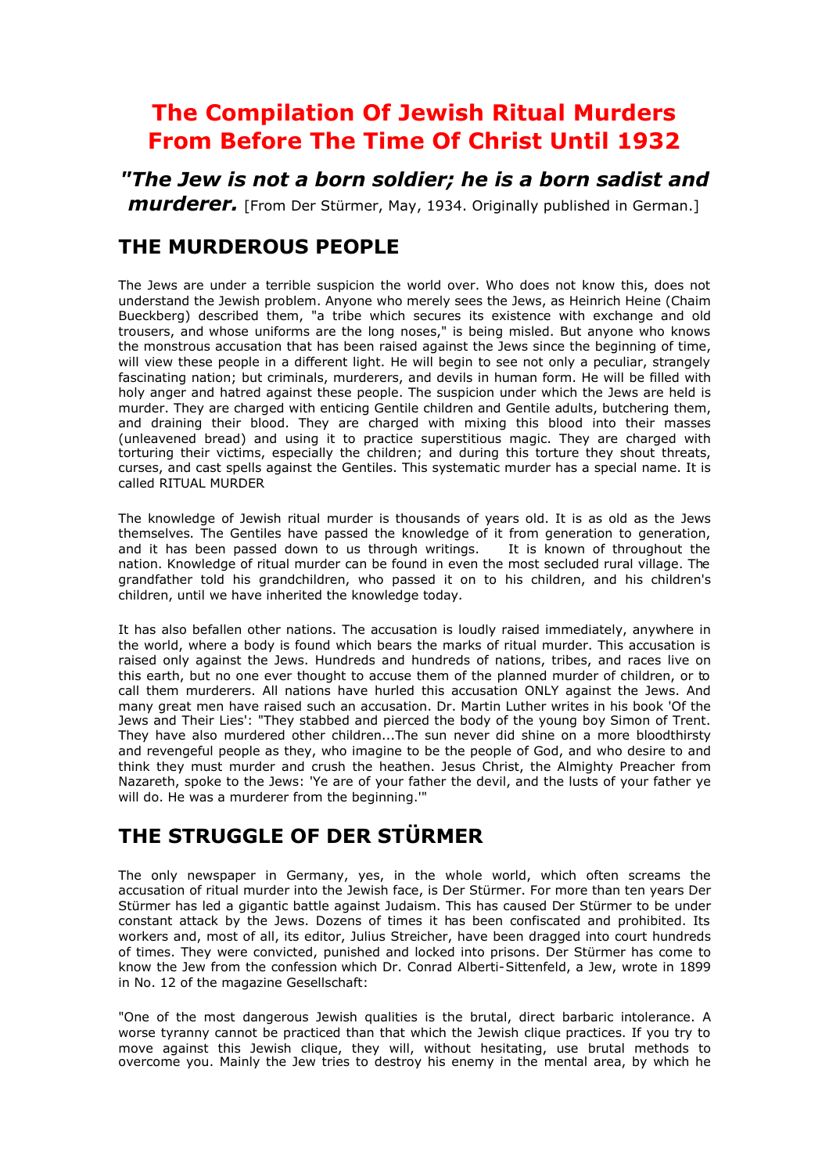# **The Compilation Of Jewish Ritual Murders From Before The Time Of Christ Until 1932**

*"The Jew is not a born soldier; he is a born sadist and murderer.* [From Der Stürmer, May, 1934. Originally published in German.]

#### **THE MURDEROUS PEOPLE**

The Jews are under a terrible suspicion the world over. Who does not know this, does not understand the Jewish problem. Anyone who merely sees the Jews, as Heinrich Heine (Chaim Bueckberg) described them, "a tribe which secures its existence with exchange and old trousers, and whose uniforms are the long noses," is being misled. But anyone who knows the monstrous accusation that has been raised against the Jews since the beginning of time, will view these people in a different light. He will begin to see not only a peculiar, strangely fascinating nation; but criminals, murderers, and devils in human form. He will be filled with holy anger and hatred against these people. The suspicion under which the Jews are held is murder. They are charged with enticing Gentile children and Gentile adults, butchering them, and draining their blood. They are charged with mixing this blood into their masses (unleavened bread) and using it to practice superstitious magic. They are charged with torturing their victims, especially the children; and during this torture they shout threats, curses, and cast spells against the Gentiles. This systematic murder has a special name. It is called RITUAL MURDER

The knowledge of Jewish ritual murder is thousands of years old. It is as old as the Jews themselves. The Gentiles have passed the knowledge of it from generation to generation, and it has been passed down to us through writings. It is known of throughout the nation. Knowledge of ritual murder can be found in even the most secluded rural village. The grandfather told his grandchildren, who passed it on to his children, and his children's children, until we have inherited the knowledge today.

It has also befallen other nations. The accusation is loudly raised immediately, anywhere in the world, where a body is found which bears the marks of ritual murder. This accusation is raised only against the Jews. Hundreds and hundreds of nations, tribes, and races live on this earth, but no one ever thought to accuse them of the planned murder of children, or to call them murderers. All nations have hurled this accusation ONLY against the Jews. And many great men have raised such an accusation. Dr. Martin Luther writes in his book 'Of the Jews and Their Lies': "They stabbed and pierced the body of the young boy Simon of Trent. They have also murdered other children...The sun never did shine on a more bloodthirsty and revengeful people as they, who imagine to be the people of God, and who desire to and think they must murder and crush the heathen. Jesus Christ, the Almighty Preacher from Nazareth, spoke to the Jews: 'Ye are of your father the devil, and the lusts of your father ye will do. He was a murderer from the beginning.'"

## **THE STRUGGLE OF DER STÜRMER**

The only newspaper in Germany, yes, in the whole world, which often screams the accusation of ritual murder into the Jewish face, is Der Stürmer. For more than ten years Der Stürmer has led a gigantic battle against Judaism. This has caused Der Stürmer to be under constant attack by the Jews. Dozens of times it has been confiscated and prohibited. Its workers and, most of all, its editor, Julius Streicher, have been dragged into court hundreds of times. They were convicted, punished and locked into prisons. Der Stürmer has come to know the Jew from the confession which Dr. Conrad Alberti-Sittenfeld, a Jew, wrote in 1899 in No. 12 of the magazine Gesellschaft:

"One of the most dangerous Jewish qualities is the brutal, direct barbaric intolerance. A worse tyranny cannot be practiced than that which the Jewish clique practices. If you try to move against this Jewish clique, they will, without hesitating, use brutal methods to overcome you. Mainly the Jew tries to destroy his enemy in the mental area, by which he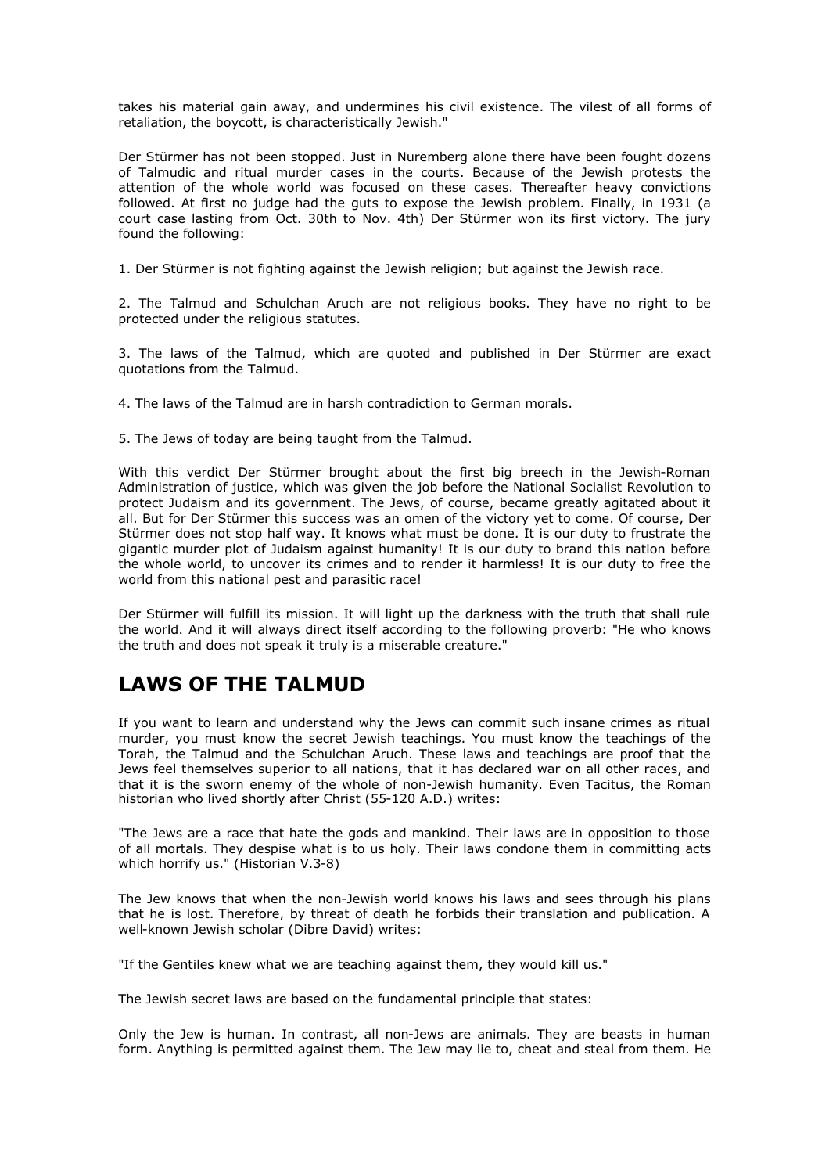takes his material gain away, and undermines his civil existence. The vilest of all forms of retaliation, the boycott, is characteristically Jewish."

Der Stürmer has not been stopped. Just in Nuremberg alone there have been fought dozens of Talmudic and ritual murder cases in the courts. Because of the Jewish protests the attention of the whole world was focused on these cases. Thereafter heavy convictions followed. At first no judge had the guts to expose the Jewish problem. Finally, in 1931 (a court case lasting from Oct. 30th to Nov. 4th) Der Stürmer won its first victory. The jury found the following:

1. Der Stürmer is not fighting against the Jewish religion; but against the Jewish race.

2. The Talmud and Schulchan Aruch are not religious books. They have no right to be protected under the religious statutes.

3. The laws of the Talmud, which are quoted and published in Der Stürmer are exact quotations from the Talmud.

4. The laws of the Talmud are in harsh contradiction to German morals.

5. The Jews of today are being taught from the Talmud.

With this verdict Der Stürmer brought about the first big breech in the Jewish-Roman Administration of justice, which was given the job before the National Socialist Revolution to protect Judaism and its government. The Jews, of course, became greatly agitated about it all. But for Der Stürmer this success was an omen of the victory yet to come. Of course, Der Stürmer does not stop half way. It knows what must be done. It is our duty to frustrate the gigantic murder plot of Judaism against humanity! It is our duty to brand this nation before the whole world, to uncover its crimes and to render it harmless! It is our duty to free the world from this national pest and parasitic race!

Der Stürmer will fulfill its mission. It will light up the darkness with the truth that shall rule the world. And it will always direct itself according to the following proverb: "He who knows the truth and does not speak it truly is a miserable creature."

### **LAWS OF THE TALMUD**

If you want to learn and understand why the Jews can commit such insane crimes as ritual murder, you must know the secret Jewish teachings. You must know the teachings of the Torah, the Talmud and the Schulchan Aruch. These laws and teachings are proof that the Jews feel themselves superior to all nations, that it has declared war on all other races, and that it is the sworn enemy of the whole of non-Jewish humanity. Even Tacitus, the Roman historian who lived shortly after Christ (55-120 A.D.) writes:

"The Jews are a race that hate the gods and mankind. Their laws are in opposition to those of all mortals. They despise what is to us holy. Their laws condone them in committing acts which horrify us." (Historian V.3-8)

The Jew knows that when the non-Jewish world knows his laws and sees through his plans that he is lost. Therefore, by threat of death he forbids their translation and publication. A well-known Jewish scholar (Dibre David) writes:

"If the Gentiles knew what we are teaching against them, they would kill us."

The Jewish secret laws are based on the fundamental principle that states:

Only the Jew is human. In contrast, all non-Jews are animals. They are beasts in human form. Anything is permitted against them. The Jew may lie to, cheat and steal from them. He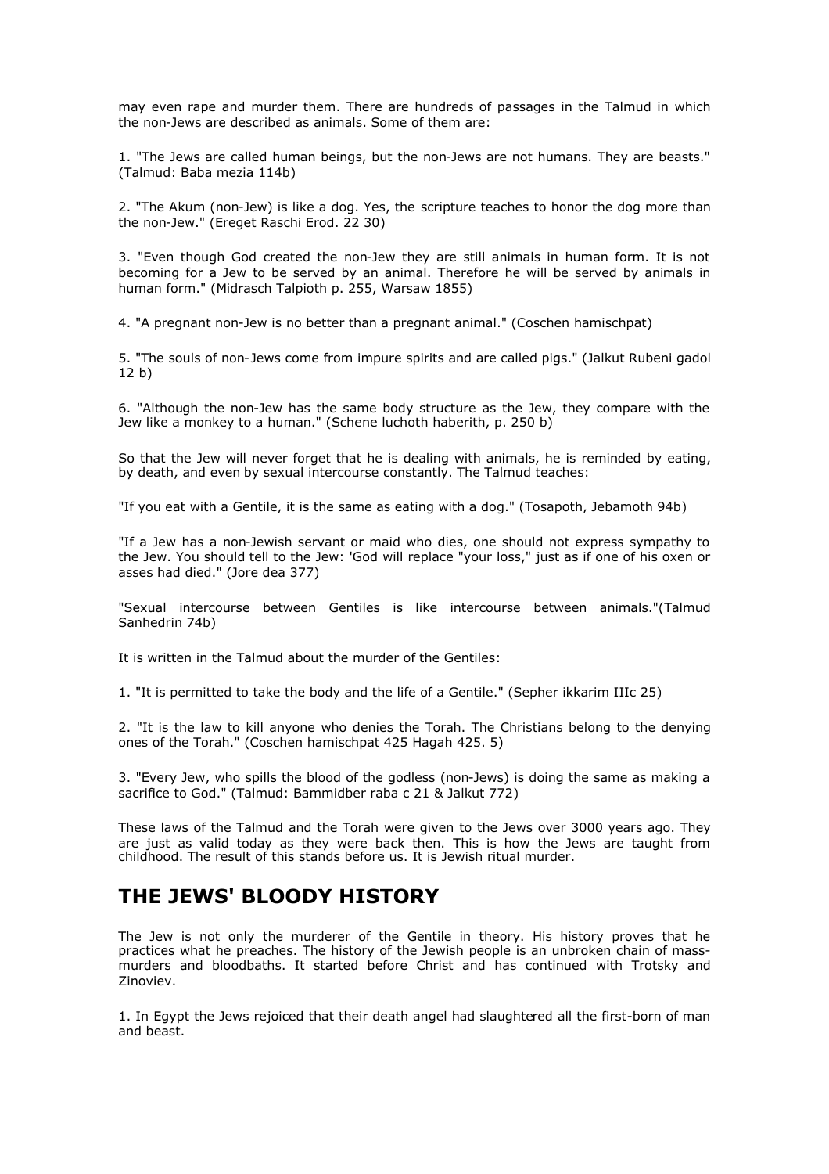may even rape and murder them. There are hundreds of passages in the Talmud in which the non-Jews are described as animals. Some of them are:

1. "The Jews are called human beings, but the non-Jews are not humans. They are beasts." (Talmud: Baba mezia 114b)

2. "The Akum (non-Jew) is like a dog. Yes, the scripture teaches to honor the dog more than the non-Jew." (Ereget Raschi Erod. 22 30)

3. "Even though God created the non-Jew they are still animals in human form. It is not becoming for a Jew to be served by an animal. Therefore he will be served by animals in human form." (Midrasch Talpioth p. 255, Warsaw 1855)

4. "A pregnant non-Jew is no better than a pregnant animal." (Coschen hamischpat)

5. "The souls of non-Jews come from impure spirits and are called pigs." (Jalkut Rubeni gadol 12 b)

6. "Although the non-Jew has the same body structure as the Jew, they compare with the Jew like a monkey to a human." (Schene luchoth haberith, p. 250 b)

So that the Jew will never forget that he is dealing with animals, he is reminded by eating, by death, and even by sexual intercourse constantly. The Talmud teaches:

"If you eat with a Gentile, it is the same as eating with a dog." (Tosapoth, Jebamoth 94b)

"If a Jew has a non-Jewish servant or maid who dies, one should not express sympathy to the Jew. You should tell to the Jew: 'God will replace "your loss," just as if one of his oxen or asses had died." (Jore dea 377)

"Sexual intercourse between Gentiles is like intercourse between animals."(Talmud Sanhedrin 74b)

It is written in the Talmud about the murder of the Gentiles:

1. "It is permitted to take the body and the life of a Gentile." (Sepher ikkarim IIIc 25)

2. "It is the law to kill anyone who denies the Torah. The Christians belong to the denying ones of the Torah." (Coschen hamischpat 425 Hagah 425. 5)

3. "Every Jew, who spills the blood of the godless (non-Jews) is doing the same as making a sacrifice to God." (Talmud: Bammidber raba c 21 & Jalkut 772)

These laws of the Talmud and the Torah were given to the Jews over 3000 years ago. They are just as valid today as they were back then. This is how the Jews are taught from childhood. The result of this stands before us. It is Jewish ritual murder.

### **THE JEWS' BLOODY HISTORY**

The Jew is not only the murderer of the Gentile in theory. His history proves that he practices what he preaches. The history of the Jewish people is an unbroken chain of massmurders and bloodbaths. It started before Christ and has continued with Trotsky and Zinoviev.

1. In Egypt the Jews rejoiced that their death angel had slaughtered all the first-born of man and beast.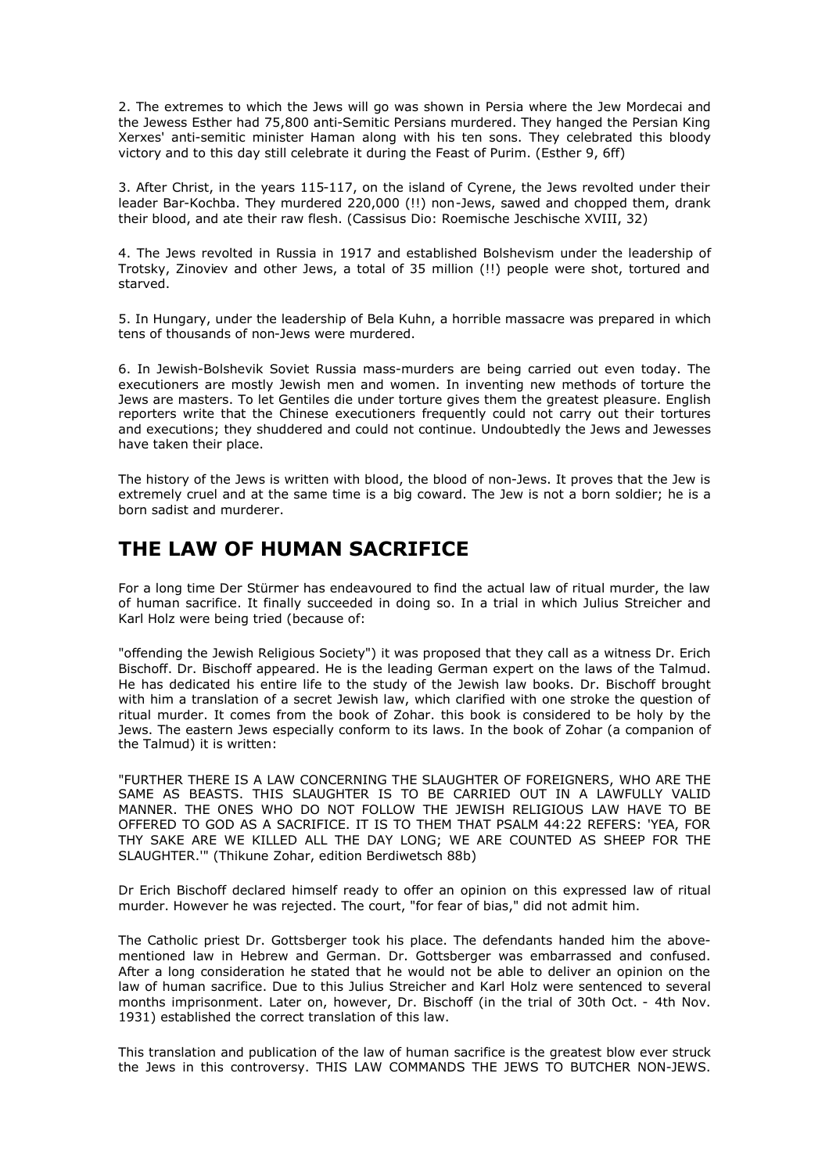2. The extremes to which the Jews will go was shown in Persia where the Jew Mordecai and the Jewess Esther had 75,800 anti-Semitic Persians murdered. They hanged the Persian King Xerxes' anti-semitic minister Haman along with his ten sons. They celebrated this bloody victory and to this day still celebrate it during the Feast of Purim. (Esther 9, 6ff)

3. After Christ, in the years 115-117, on the island of Cyrene, the Jews revolted under their leader Bar-Kochba. They murdered 220,000 (!!) non-Jews, sawed and chopped them, drank their blood, and ate their raw flesh. (Cassisus Dio: Roemische Jeschische XVIII, 32)

4. The Jews revolted in Russia in 1917 and established Bolshevism under the leadership of Trotsky, Zinoviev and other Jews, a total of 35 million (!!) people were shot, tortured and starved.

5. In Hungary, under the leadership of Bela Kuhn, a horrible massacre was prepared in which tens of thousands of non-Jews were murdered.

6. In Jewish-Bolshevik Soviet Russia mass-murders are being carried out even today. The executioners are mostly Jewish men and women. In inventing new methods of torture the Jews are masters. To let Gentiles die under torture gives them the greatest pleasure. English reporters write that the Chinese executioners frequently could not carry out their tortures and executions; they shuddered and could not continue. Undoubtedly the Jews and Jewesses have taken their place.

The history of the Jews is written with blood, the blood of non-Jews. It proves that the Jew is extremely cruel and at the same time is a big coward. The Jew is not a born soldier; he is a born sadist and murderer.

### **THE LAW OF HUMAN SACRIFICE**

For a long time Der Stürmer has endeavoured to find the actual law of ritual murder, the law of human sacrifice. It finally succeeded in doing so. In a trial in which Julius Streicher and Karl Holz were being tried (because of:

"offending the Jewish Religious Society") it was proposed that they call as a witness Dr. Erich Bischoff. Dr. Bischoff appeared. He is the leading German expert on the laws of the Talmud. He has dedicated his entire life to the study of the Jewish law books. Dr. Bischoff brought with him a translation of a secret Jewish law, which clarified with one stroke the question of ritual murder. It comes from the book of Zohar. this book is considered to be holy by the Jews. The eastern Jews especially conform to its laws. In the book of Zohar (a companion of the Talmud) it is written:

"FURTHER THERE IS A LAW CONCERNING THE SLAUGHTER OF FOREIGNERS, WHO ARE THE SAME AS BEASTS. THIS SLAUGHTER IS TO BE CARRIED OUT IN A LAWFULLY VALID MANNER. THE ONES WHO DO NOT FOLLOW THE JEWISH RELIGIOUS LAW HAVE TO BE OFFERED TO GOD AS A SACRIFICE. IT IS TO THEM THAT PSALM 44:22 REFERS: 'YEA, FOR THY SAKE ARE WE KILLED ALL THE DAY LONG; WE ARE COUNTED AS SHEEP FOR THE SLAUGHTER.'" (Thikune Zohar, edition Berdiwetsch 88b)

Dr Erich Bischoff declared himself ready to offer an opinion on this expressed law of ritual murder. However he was rejected. The court, "for fear of bias," did not admit him.

The Catholic priest Dr. Gottsberger took his place. The defendants handed him the abovementioned law in Hebrew and German. Dr. Gottsberger was embarrassed and confused. After a long consideration he stated that he would not be able to deliver an opinion on the law of human sacrifice. Due to this Julius Streicher and Karl Holz were sentenced to several months imprisonment. Later on, however, Dr. Bischoff (in the trial of 30th Oct. - 4th Nov. 1931) established the correct translation of this law.

This translation and publication of the law of human sacrifice is the greatest blow ever struck the Jews in this controversy. THIS LAW COMMANDS THE JEWS TO BUTCHER NON-JEWS.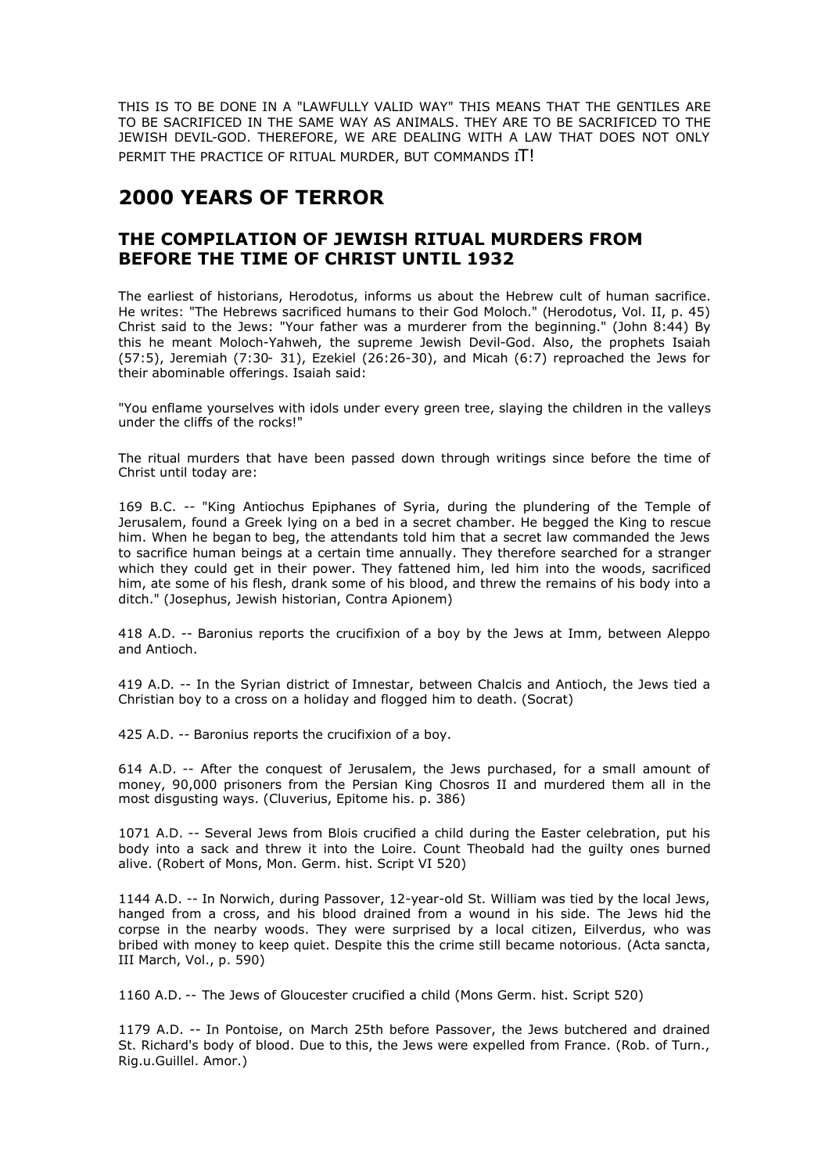THIS IS TO BE DONE IN A "LAWFULLY VALID WAY" THIS MEANS THAT THE GENTILES ARE TO BE SACRIFICED IN THE SAME WAY AS ANIMALS. THEY ARE TO BE SACRIFICED TO THE JEWISH DEVIL-GOD. THEREFORE, WE ARE DEALING WITH A LAW THAT DOES NOT ONLY PERMIT THE PRACTICE OF RITUAL MURDER, BUT COMMANDS IT!

### **2000 YEARS OF TERROR**

#### **THE COMPILATION OF JEWISH RITUAL MURDERS FROM BEFORE THE TIME OF CHRIST UNTIL 1932**

The earliest of historians, Herodotus, informs us about the Hebrew cult of human sacrifice. He writes: "The Hebrews sacrificed humans to their God Moloch." (Herodotus, Vol. II, p. 45) Christ said to the Jews: "Your father was a murderer from the beginning." (John 8:44) By this he meant Moloch-Yahweh, the supreme Jewish Devil-God. Also, the prophets Isaiah (57:5), Jeremiah (7:30- 31), Ezekiel (26:26-30), and Micah (6:7) reproached the Jews for their abominable offerings. Isaiah said:

"You enflame yourselves with idols under every green tree, slaying the children in the valleys under the cliffs of the rocks!"

The ritual murders that have been passed down through writings since before the time of Christ until today are:

169 B.C. -- "King Antiochus Epiphanes of Syria, during the plundering of the Temple of Jerusalem, found a Greek lying on a bed in a secret chamber. He begged the King to rescue him. When he began to beg, the attendants told him that a secret law commanded the Jews to sacrifice human beings at a certain time annually. They therefore searched for a stranger which they could get in their power. They fattened him, led him into the woods, sacrificed him, ate some of his flesh, drank some of his blood, and threw the remains of his body into a ditch." (Josephus, Jewish historian, Contra Apionem)

418 A.D. -- Baronius reports the crucifixion of a boy by the Jews at Imm, between Aleppo and Antioch.

419 A.D. -- In the Syrian district of Imnestar, between Chalcis and Antioch, the Jews tied a Christian boy to a cross on a holiday and flogged him to death. (Socrat)

425 A.D. -- Baronius reports the crucifixion of a boy.

614 A.D. -- After the conquest of Jerusalem, the Jews purchased, for a small amount of money, 90,000 prisoners from the Persian King Chosros II and murdered them all in the most disgusting ways. (Cluverius, Epitome his. p. 386)

1071 A.D. -- Several Jews from Blois crucified a child during the Easter celebration, put his body into a sack and threw it into the Loire. Count Theobald had the guilty ones burned alive. (Robert of Mons, Mon. Germ. hist. Script VI 520)

1144 A.D. -- In Norwich, during Passover, 12-year-old St. William was tied by the local Jews, hanged from a cross, and his blood drained from a wound in his side. The Jews hid the corpse in the nearby woods. They were surprised by a local citizen, Eilverdus, who was bribed with money to keep quiet. Despite this the crime still became notorious. (Acta sancta, III March, Vol., p. 590)

1160 A.D. -- The Jews of Gloucester crucified a child (Mons Germ. hist. Script 520)

1179 A.D. -- In Pontoise, on March 25th before Passover, the Jews butchered and drained St. Richard's body of blood. Due to this, the Jews were expelled from France. (Rob. of Turn., Rig.u.Guillel. Amor.)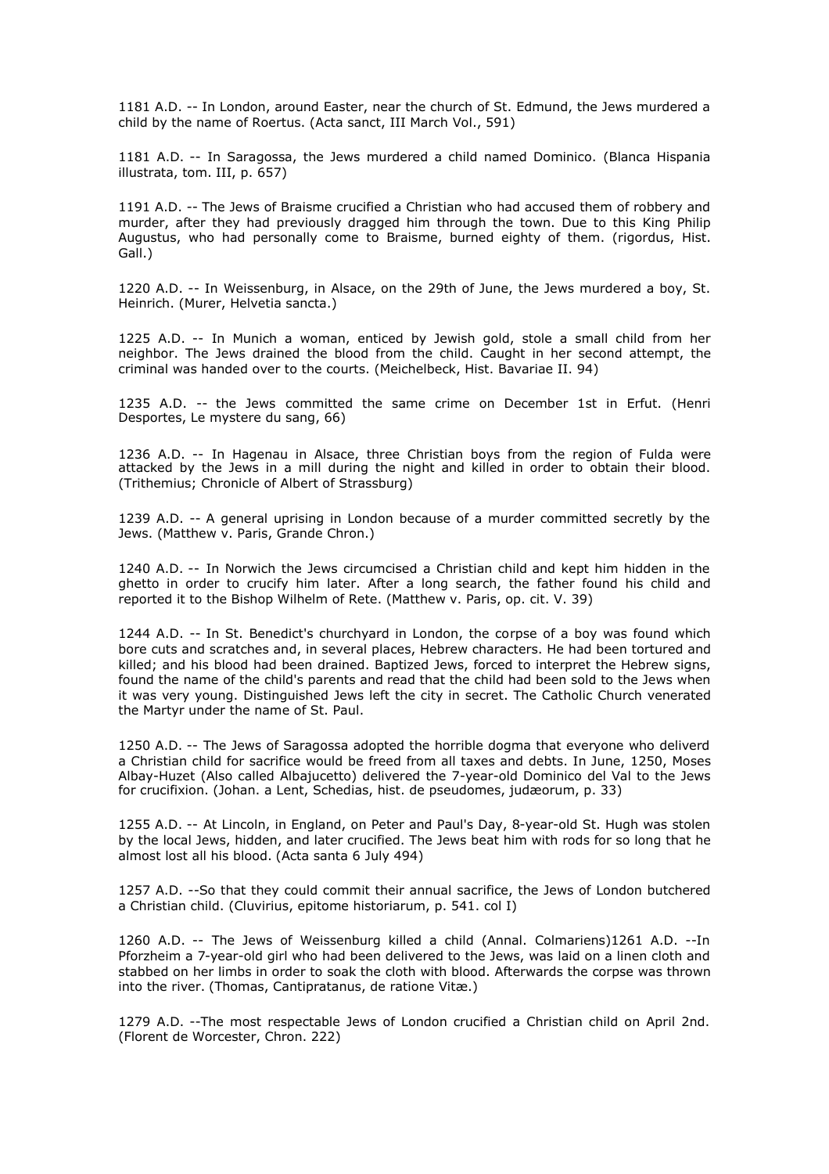1181 A.D. -- In London, around Easter, near the church of St. Edmund, the Jews murdered a child by the name of Roertus. (Acta sanct, III March Vol., 591)

1181 A.D. -- In Saragossa, the Jews murdered a child named Dominico. (Blanca Hispania illustrata, tom. III, p. 657)

1191 A.D. -- The Jews of Braisme crucified a Christian who had accused them of robbery and murder, after they had previously dragged him through the town. Due to this King Philip Augustus, who had personally come to Braisme, burned eighty of them. (rigordus, Hist. Gall.)

1220 A.D. -- In Weissenburg, in Alsace, on the 29th of June, the Jews murdered a boy, St. Heinrich. (Murer, Helvetia sancta.)

1225 A.D. -- In Munich a woman, enticed by Jewish gold, stole a small child from her neighbor. The Jews drained the blood from the child. Caught in her second attempt, the criminal was handed over to the courts. (Meichelbeck, Hist. Bavariae II. 94)

1235 A.D. -- the Jews committed the same crime on December 1st in Erfut. (Henri Desportes, Le mystere du sang, 66)

1236 A.D. -- In Hagenau in Alsace, three Christian boys from the region of Fulda were attacked by the Jews in a mill during the night and killed in order to obtain their blood. (Trithemius; Chronicle of Albert of Strassburg)

1239 A.D. -- A general uprising in London because of a murder committed secretly by the Jews. (Matthew v. Paris, Grande Chron.)

1240 A.D. -- In Norwich the Jews circumcised a Christian child and kept him hidden in the ghetto in order to crucify him later. After a long search, the father found his child and reported it to the Bishop Wilhelm of Rete. (Matthew v. Paris, op. cit. V. 39)

1244 A.D. -- In St. Benedict's churchyard in London, the corpse of a boy was found which bore cuts and scratches and, in several places, Hebrew characters. He had been tortured and killed; and his blood had been drained. Baptized Jews, forced to interpret the Hebrew signs, found the name of the child's parents and read that the child had been sold to the Jews when it was very young. Distinguished Jews left the city in secret. The Catholic Church venerated the Martyr under the name of St. Paul.

1250 A.D. -- The Jews of Saragossa adopted the horrible dogma that everyone who deliverd a Christian child for sacrifice would be freed from all taxes and debts. In June, 1250, Moses Albay-Huzet (Also called Albajucetto) delivered the 7-year-old Dominico del Val to the Jews for crucifixion. (Johan. a Lent, Schedias, hist. de pseudomes, judæorum, p. 33)

1255 A.D. -- At Lincoln, in England, on Peter and Paul's Day, 8-year-old St. Hugh was stolen by the local Jews, hidden, and later crucified. The Jews beat him with rods for so long that he almost lost all his blood. (Acta santa 6 July 494)

1257 A.D. --So that they could commit their annual sacrifice, the Jews of London butchered a Christian child. (Cluvirius, epitome historiarum, p. 541. col I)

1260 A.D. -- The Jews of Weissenburg killed a child (Annal. Colmariens)1261 A.D. --In Pforzheim a 7-year-old girl who had been delivered to the Jews, was laid on a linen cloth and stabbed on her limbs in order to soak the cloth with blood. Afterwards the corpse was thrown into the river. (Thomas, Cantipratanus, de ratione Vitæ.)

1279 A.D. --The most respectable Jews of London crucified a Christian child on April 2nd. (Florent de Worcester, Chron. 222)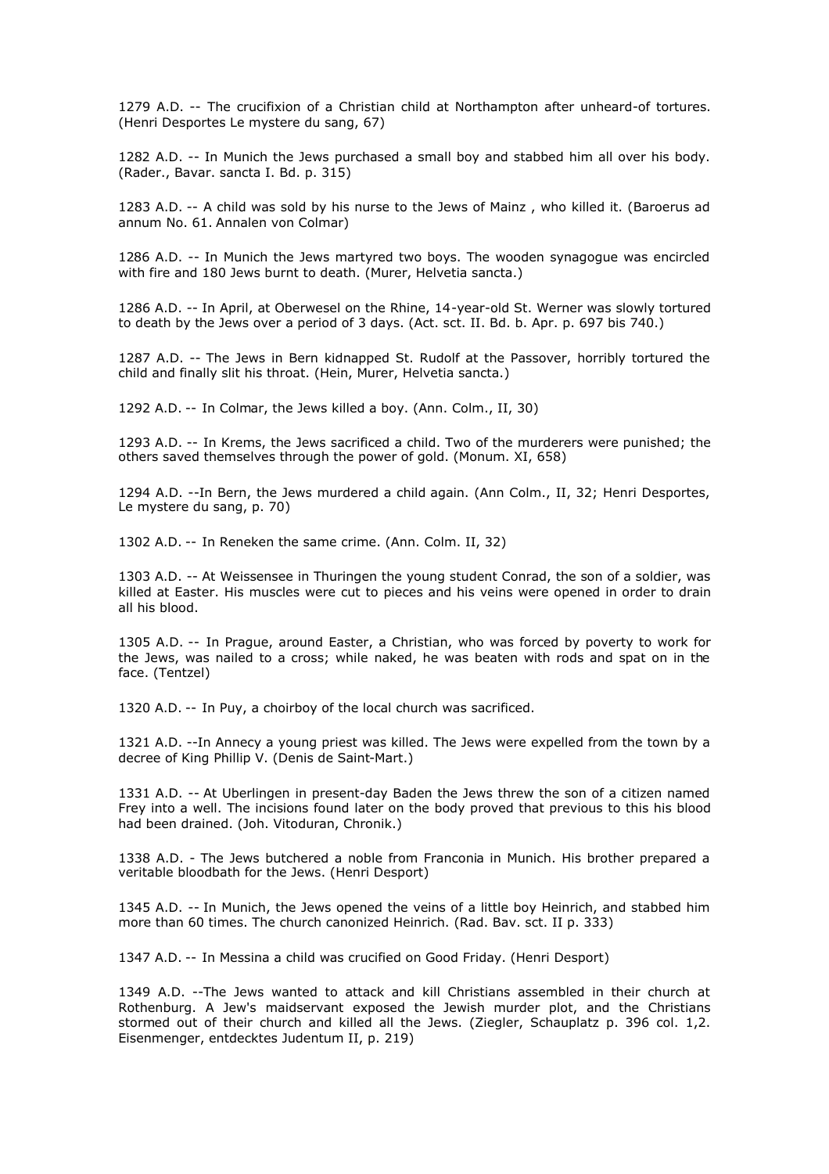1279 A.D. -- The crucifixion of a Christian child at Northampton after unheard-of tortures. (Henri Desportes Le mystere du sang, 67)

1282 A.D. -- In Munich the Jews purchased a small boy and stabbed him all over his body. (Rader., Bavar. sancta I. Bd. p. 315)

1283 A.D. -- A child was sold by his nurse to the Jews of Mainz , who killed it. (Baroerus ad annum No. 61. Annalen von Colmar)

1286 A.D. -- In Munich the Jews martyred two boys. The wooden synagogue was encircled with fire and 180 Jews burnt to death. (Murer, Helvetia sancta.)

1286 A.D. -- In April, at Oberwesel on the Rhine, 14-year-old St. Werner was slowly tortured to death by the Jews over a period of 3 days. (Act. sct. II. Bd. b. Apr. p. 697 bis 740.)

1287 A.D. -- The Jews in Bern kidnapped St. Rudolf at the Passover, horribly tortured the child and finally slit his throat. (Hein, Murer, Helvetia sancta.)

1292 A.D. -- In Colmar, the Jews killed a boy. (Ann. Colm., II, 30)

1293 A.D. -- In Krems, the Jews sacrificed a child. Two of the murderers were punished; the others saved themselves through the power of gold. (Monum. XI, 658)

1294 A.D. --In Bern, the Jews murdered a child again. (Ann Colm., II, 32; Henri Desportes, Le mystere du sang, p. 70)

1302 A.D. -- In Reneken the same crime. (Ann. Colm. II, 32)

1303 A.D. -- At Weissensee in Thuringen the young student Conrad, the son of a soldier, was killed at Easter. His muscles were cut to pieces and his veins were opened in order to drain all his blood.

1305 A.D. -- In Prague, around Easter, a Christian, who was forced by poverty to work for the Jews, was nailed to a cross; while naked, he was beaten with rods and spat on in the face. (Tentzel)

1320 A.D. -- In Puy, a choirboy of the local church was sacrificed.

1321 A.D. --In Annecy a young priest was killed. The Jews were expelled from the town by a decree of King Phillip V. (Denis de Saint-Mart.)

1331 A.D. -- At Uberlingen in present-day Baden the Jews threw the son of a citizen named Frey into a well. The incisions found later on the body proved that previous to this his blood had been drained. (Joh. Vitoduran, Chronik.)

1338 A.D. - The Jews butchered a noble from Franconia in Munich. His brother prepared a veritable bloodbath for the Jews. (Henri Desport)

1345 A.D. -- In Munich, the Jews opened the veins of a little boy Heinrich, and stabbed him more than 60 times. The church canonized Heinrich. (Rad. Bav. sct. II p. 333)

1347 A.D. -- In Messina a child was crucified on Good Friday. (Henri Desport)

1349 A.D. --The Jews wanted to attack and kill Christians assembled in their church at Rothenburg. A Jew's maidservant exposed the Jewish murder plot, and the Christians stormed out of their church and killed all the Jews. (Ziegler, Schauplatz p. 396 col. 1,2. Eisenmenger, entdecktes Judentum II, p. 219)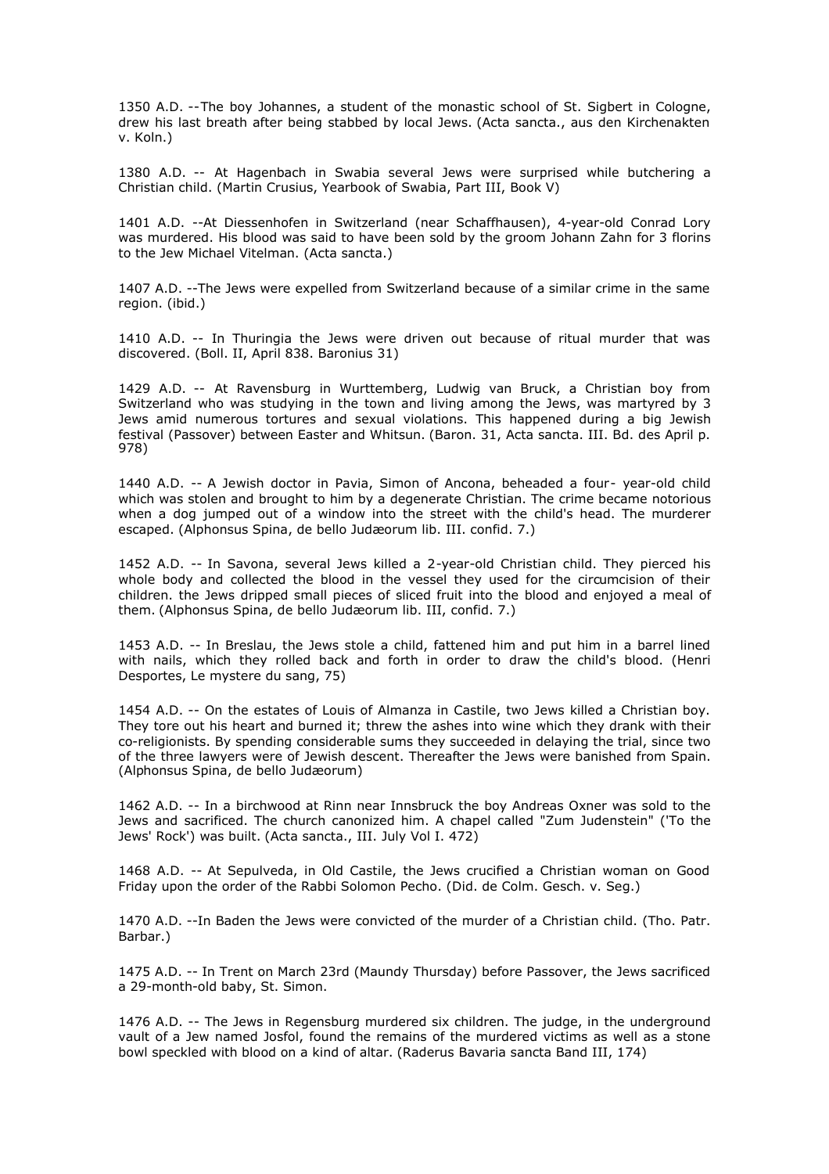1350 A.D. --The boy Johannes, a student of the monastic school of St. Sigbert in Cologne, drew his last breath after being stabbed by local Jews. (Acta sancta., aus den Kirchenakten v. Koln.)

1380 A.D. -- At Hagenbach in Swabia several Jews were surprised while butchering a Christian child. (Martin Crusius, Yearbook of Swabia, Part III, Book V)

1401 A.D. --At Diessenhofen in Switzerland (near Schaffhausen), 4-year-old Conrad Lory was murdered. His blood was said to have been sold by the groom Johann Zahn for 3 florins to the Jew Michael Vitelman. (Acta sancta.)

1407 A.D. --The Jews were expelled from Switzerland because of a similar crime in the same region. (ibid.)

1410 A.D. -- In Thuringia the Jews were driven out because of ritual murder that was discovered. (Boll. II, April 838. Baronius 31)

1429 A.D. -- At Ravensburg in Wurttemberg, Ludwig van Bruck, a Christian boy from Switzerland who was studying in the town and living among the Jews, was martyred by 3 Jews amid numerous tortures and sexual violations. This happened during a big Jewish festival (Passover) between Easter and Whitsun. (Baron. 31, Acta sancta. III. Bd. des April p. 978)

1440 A.D. -- A Jewish doctor in Pavia, Simon of Ancona, beheaded a four- year-old child which was stolen and brought to him by a degenerate Christian. The crime became notorious when a dog jumped out of a window into the street with the child's head. The murderer escaped. (Alphonsus Spina, de bello Judæorum lib. III. confid. 7.)

1452 A.D. -- In Savona, several Jews killed a 2-year-old Christian child. They pierced his whole body and collected the blood in the vessel they used for the circumcision of their children. the Jews dripped small pieces of sliced fruit into the blood and enjoyed a meal of them. (Alphonsus Spina, de bello Judæorum lib. III, confid. 7.)

1453 A.D. -- In Breslau, the Jews stole a child, fattened him and put him in a barrel lined with nails, which they rolled back and forth in order to draw the child's blood. (Henri Desportes, Le mystere du sang, 75)

1454 A.D. -- On the estates of Louis of Almanza in Castile, two Jews killed a Christian boy. They tore out his heart and burned it; threw the ashes into wine which they drank with their co-religionists. By spending considerable sums they succeeded in delaying the trial, since two of the three lawyers were of Jewish descent. Thereafter the Jews were banished from Spain. (Alphonsus Spina, de bello Judæorum)

1462 A.D. -- In a birchwood at Rinn near Innsbruck the boy Andreas Oxner was sold to the Jews and sacrificed. The church canonized him. A chapel called "Zum Judenstein" ('To the Jews' Rock') was built. (Acta sancta., III. July Vol I. 472)

1468 A.D. -- At Sepulveda, in Old Castile, the Jews crucified a Christian woman on Good Friday upon the order of the Rabbi Solomon Pecho. (Did. de Colm. Gesch. v. Seg.)

1470 A.D. --In Baden the Jews were convicted of the murder of a Christian child. (Tho. Patr. Barbar.)

1475 A.D. -- In Trent on March 23rd (Maundy Thursday) before Passover, the Jews sacrificed a 29-month-old baby, St. Simon.

1476 A.D. -- The Jews in Regensburg murdered six children. The judge, in the underground vault of a Jew named Josfol, found the remains of the murdered victims as well as a stone bowl speckled with blood on a kind of altar. (Raderus Bavaria sancta Band III, 174)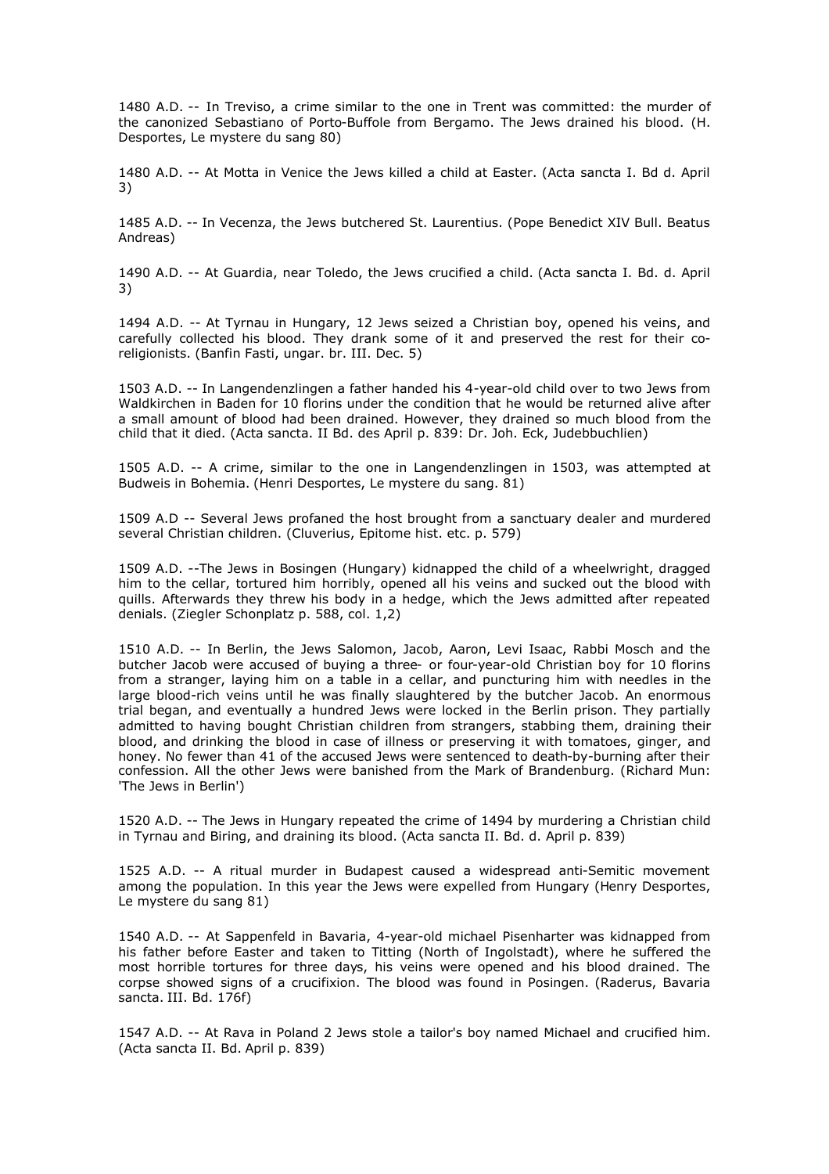1480 A.D. -- In Treviso, a crime similar to the one in Trent was committed: the murder of the canonized Sebastiano of Porto-Buffole from Bergamo. The Jews drained his blood. (H. Desportes, Le mystere du sang 80)

1480 A.D. -- At Motta in Venice the Jews killed a child at Easter. (Acta sancta I. Bd d. April 3)

1485 A.D. -- In Vecenza, the Jews butchered St. Laurentius. (Pope Benedict XIV Bull. Beatus Andreas)

1490 A.D. -- At Guardia, near Toledo, the Jews crucified a child. (Acta sancta I. Bd. d. April 3)

1494 A.D. -- At Tyrnau in Hungary, 12 Jews seized a Christian boy, opened his veins, and carefully collected his blood. They drank some of it and preserved the rest for their coreligionists. (Banfin Fasti, ungar. br. III. Dec. 5)

1503 A.D. -- In Langendenzlingen a father handed his 4-year-old child over to two Jews from Waldkirchen in Baden for 10 florins under the condition that he would be returned alive after a small amount of blood had been drained. However, they drained so much blood from the child that it died. (Acta sancta. II Bd. des April p. 839: Dr. Joh. Eck, Judebbuchlien)

1505 A.D. -- A crime, similar to the one in Langendenzlingen in 1503, was attempted at Budweis in Bohemia. (Henri Desportes, Le mystere du sang. 81)

1509 A.D -- Several Jews profaned the host brought from a sanctuary dealer and murdered several Christian children. (Cluverius, Epitome hist. etc. p. 579)

1509 A.D. --The Jews in Bosingen (Hungary) kidnapped the child of a wheelwright, dragged him to the cellar, tortured him horribly, opened all his veins and sucked out the blood with quills. Afterwards they threw his body in a hedge, which the Jews admitted after repeated denials. (Ziegler Schonplatz p. 588, col. 1,2)

1510 A.D. -- In Berlin, the Jews Salomon, Jacob, Aaron, Levi Isaac, Rabbi Mosch and the butcher Jacob were accused of buying a three- or four-year-old Christian boy for 10 florins from a stranger, laying him on a table in a cellar, and puncturing him with needles in the large blood-rich veins until he was finally slaughtered by the butcher Jacob. An enormous trial began, and eventually a hundred Jews were locked in the Berlin prison. They partially admitted to having bought Christian children from strangers, stabbing them, draining their blood, and drinking the blood in case of illness or preserving it with tomatoes, ginger, and honey. No fewer than 41 of the accused Jews were sentenced to death-by-burning after their confession. All the other Jews were banished from the Mark of Brandenburg. (Richard Mun: 'The Jews in Berlin')

1520 A.D. -- The Jews in Hungary repeated the crime of 1494 by murdering a Christian child in Tyrnau and Biring, and draining its blood. (Acta sancta II. Bd. d. April p. 839)

1525 A.D. -- A ritual murder in Budapest caused a widespread anti-Semitic movement among the population. In this year the Jews were expelled from Hungary (Henry Desportes, Le mystere du sang 81)

1540 A.D. -- At Sappenfeld in Bavaria, 4-year-old michael Pisenharter was kidnapped from his father before Easter and taken to Titting (North of Ingolstadt), where he suffered the most horrible tortures for three days, his veins were opened and his blood drained. The corpse showed signs of a crucifixion. The blood was found in Posingen. (Raderus, Bavaria sancta. III. Bd. 176f)

1547 A.D. -- At Rava in Poland 2 Jews stole a tailor's boy named Michael and crucified him. (Acta sancta II. Bd. April p. 839)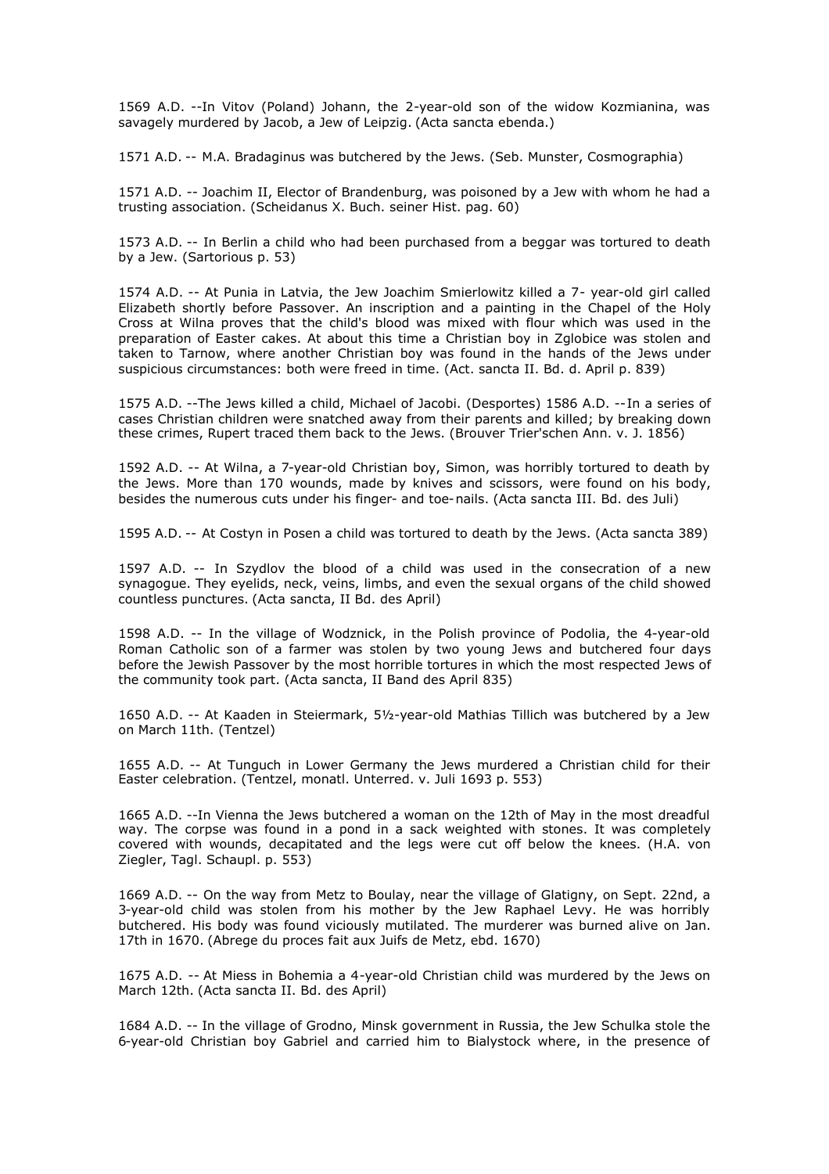1569 A.D. --In Vitov (Poland) Johann, the 2-year-old son of the widow Kozmianina, was savagely murdered by Jacob, a Jew of Leipzig. (Acta sancta ebenda.)

1571 A.D. -- M.A. Bradaginus was butchered by the Jews. (Seb. Munster, Cosmographia)

1571 A.D. -- Joachim II, Elector of Brandenburg, was poisoned by a Jew with whom he had a trusting association. (Scheidanus X. Buch. seiner Hist. pag. 60)

1573 A.D. -- In Berlin a child who had been purchased from a beggar was tortured to death by a Jew. (Sartorious p. 53)

1574 A.D. -- At Punia in Latvia, the Jew Joachim Smierlowitz killed a 7- year-old girl called Elizabeth shortly before Passover. An inscription and a painting in the Chapel of the Holy Cross at Wilna proves that the child's blood was mixed with flour which was used in the preparation of Easter cakes. At about this time a Christian boy in Zglobice was stolen and taken to Tarnow, where another Christian boy was found in the hands of the Jews under suspicious circumstances: both were freed in time. (Act. sancta II. Bd. d. April p. 839)

1575 A.D. --The Jews killed a child, Michael of Jacobi. (Desportes) 1586 A.D. --In a series of cases Christian children were snatched away from their parents and killed; by breaking down these crimes, Rupert traced them back to the Jews. (Brouver Trier'schen Ann. v. J. 1856)

1592 A.D. -- At Wilna, a 7-year-old Christian boy, Simon, was horribly tortured to death by the Jews. More than 170 wounds, made by knives and scissors, were found on his body, besides the numerous cuts under his finger- and toe-nails. (Acta sancta III. Bd. des Juli)

1595 A.D. -- At Costyn in Posen a child was tortured to death by the Jews. (Acta sancta 389)

1597 A.D. -- In Szydlov the blood of a child was used in the consecration of a new synagogue. They eyelids, neck, veins, limbs, and even the sexual organs of the child showed countless punctures. (Acta sancta, II Bd. des April)

1598 A.D. -- In the village of Wodznick, in the Polish province of Podolia, the 4-year-old Roman Catholic son of a farmer was stolen by two young Jews and butchered four days before the Jewish Passover by the most horrible tortures in which the most respected Jews of the community took part. (Acta sancta, II Band des April 835)

1650 A.D. -- At Kaaden in Steiermark, 5½-year-old Mathias Tillich was butchered by a Jew on March 11th. (Tentzel)

1655 A.D. -- At Tunguch in Lower Germany the Jews murdered a Christian child for their Easter celebration. (Tentzel, monatl. Unterred. v. Juli 1693 p. 553)

1665 A.D. --In Vienna the Jews butchered a woman on the 12th of May in the most dreadful way. The corpse was found in a pond in a sack weighted with stones. It was completely covered with wounds, decapitated and the legs were cut off below the knees. (H.A. von Ziegler, Tagl. Schaupl. p. 553)

1669 A.D. -- On the way from Metz to Boulay, near the village of Glatigny, on Sept. 22nd, a 3-year-old child was stolen from his mother by the Jew Raphael Levy. He was horribly butchered. His body was found viciously mutilated. The murderer was burned alive on Jan. 17th in 1670. (Abrege du proces fait aux Juifs de Metz, ebd. 1670)

1675 A.D. -- At Miess in Bohemia a 4-year-old Christian child was murdered by the Jews on March 12th. (Acta sancta II. Bd. des April)

1684 A.D. -- In the village of Grodno, Minsk government in Russia, the Jew Schulka stole the 6-year-old Christian boy Gabriel and carried him to Bialystock where, in the presence of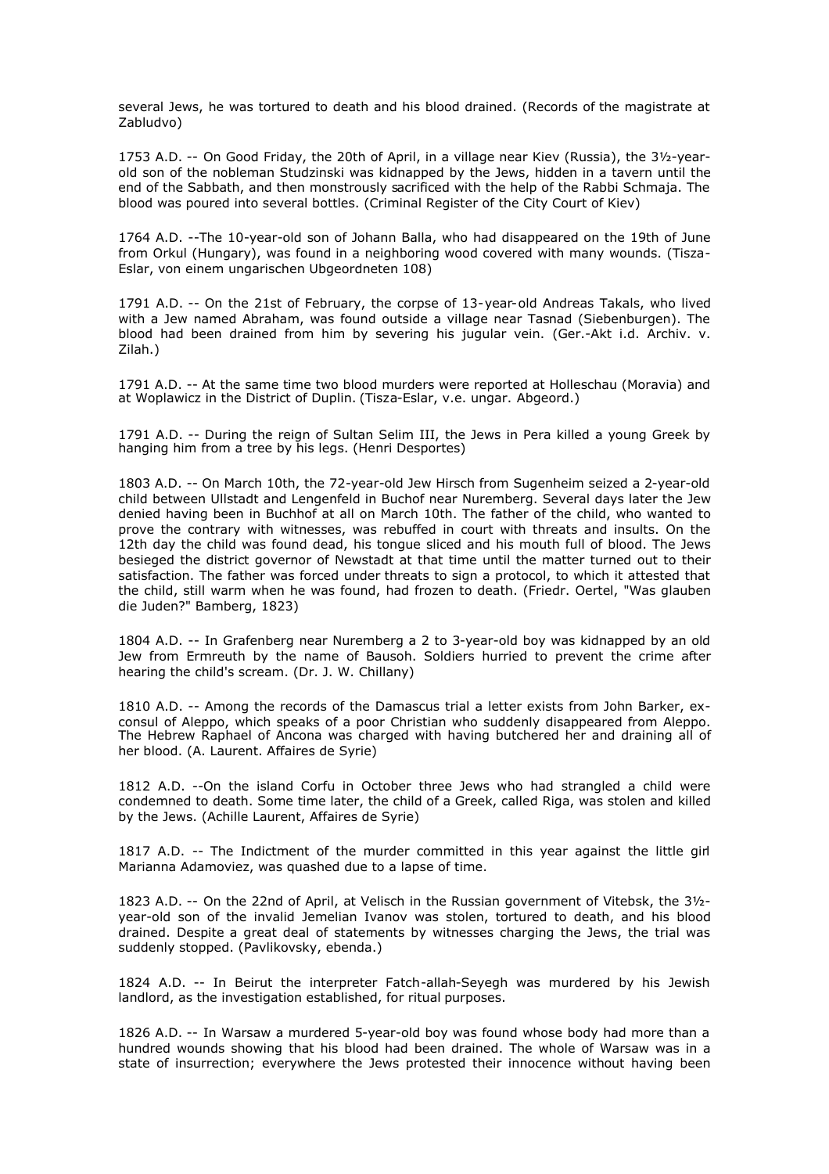several Jews, he was tortured to death and his blood drained. (Records of the magistrate at Zabludvo)

1753 A.D. -- On Good Friday, the 20th of April, in a village near Kiev (Russia), the 3½-yearold son of the nobleman Studzinski was kidnapped by the Jews, hidden in a tavern until the end of the Sabbath, and then monstrously sacrificed with the help of the Rabbi Schmaja. The blood was poured into several bottles. (Criminal Register of the City Court of Kiev)

1764 A.D. --The 10-year-old son of Johann Balla, who had disappeared on the 19th of June from Orkul (Hungary), was found in a neighboring wood covered with many wounds. (Tisza-Eslar, von einem ungarischen Ubgeordneten 108)

1791 A.D. -- On the 21st of February, the corpse of 13-year-old Andreas Takals, who lived with a Jew named Abraham, was found outside a village near Tasnad (Siebenburgen). The blood had been drained from him by severing his jugular vein. (Ger.-Akt i.d. Archiv. v. Zilah.)

1791 A.D. -- At the same time two blood murders were reported at Holleschau (Moravia) and at Woplawicz in the District of Duplin. (Tisza-Eslar, v.e. ungar. Abgeord.)

1791 A.D. -- During the reign of Sultan Selim III, the Jews in Pera killed a young Greek by hanging him from a tree by his legs. (Henri Desportes)

1803 A.D. -- On March 10th, the 72-year-old Jew Hirsch from Sugenheim seized a 2-year-old child between Ullstadt and Lengenfeld in Buchof near Nuremberg. Several days later the Jew denied having been in Buchhof at all on March 10th. The father of the child, who wanted to prove the contrary with witnesses, was rebuffed in court with threats and insults. On the 12th day the child was found dead, his tongue sliced and his mouth full of blood. The Jews besieged the district governor of Newstadt at that time until the matter turned out to their satisfaction. The father was forced under threats to sign a protocol, to which it attested that the child, still warm when he was found, had frozen to death. (Friedr. Oertel, "Was glauben die Juden?" Bamberg, 1823)

1804 A.D. -- In Grafenberg near Nuremberg a 2 to 3-year-old boy was kidnapped by an old Jew from Ermreuth by the name of Bausoh. Soldiers hurried to prevent the crime after hearing the child's scream. (Dr. J. W. Chillany)

1810 A.D. -- Among the records of the Damascus trial a letter exists from John Barker, exconsul of Aleppo, which speaks of a poor Christian who suddenly disappeared from Aleppo. The Hebrew Raphael of Ancona was charged with having butchered her and draining all of her blood. (A. Laurent. Affaires de Syrie)

1812 A.D. --On the island Corfu in October three Jews who had strangled a child were condemned to death. Some time later, the child of a Greek, called Riga, was stolen and killed by the Jews. (Achille Laurent, Affaires de Syrie)

1817 A.D. -- The Indictment of the murder committed in this year against the little girl Marianna Adamoviez, was quashed due to a lapse of time.

1823 A.D. -- On the 22nd of April, at Velisch in the Russian government of Vitebsk, the 3½ year-old son of the invalid Jemelian Ivanov was stolen, tortured to death, and his blood drained. Despite a great deal of statements by witnesses charging the Jews, the trial was suddenly stopped. (Pavlikovsky, ebenda.)

1824 A.D. -- In Beirut the interpreter Fatch-allah-Seyegh was murdered by his Jewish landlord, as the investigation established, for ritual purposes.

1826 A.D. -- In Warsaw a murdered 5-year-old boy was found whose body had more than a hundred wounds showing that his blood had been drained. The whole of Warsaw was in a state of insurrection; everywhere the Jews protested their innocence without having been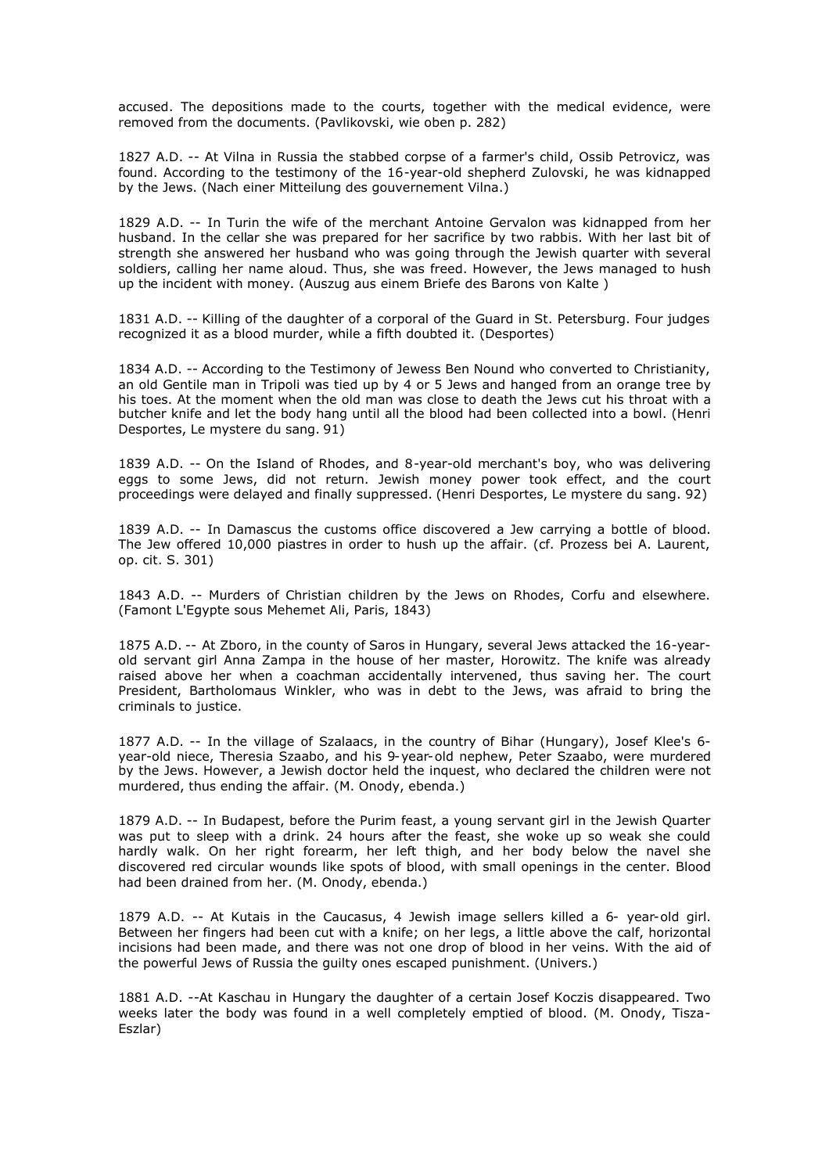accused. The depositions made to the courts, together with the medical evidence, were removed from the documents. (Pavlikovski, wie oben p. 282)

1827 A.D. -- At Vilna in Russia the stabbed corpse of a farmer's child, Ossib Petrovicz, was found. According to the testimony of the 16-year-old shepherd Zulovski, he was kidnapped by the Jews. (Nach einer Mitteilung des gouvernement Vilna.)

1829 A.D. -- In Turin the wife of the merchant Antoine Gervalon was kidnapped from her husband. In the cellar she was prepared for her sacrifice by two rabbis. With her last bit of strength she answered her husband who was going through the Jewish quarter with several soldiers, calling her name aloud. Thus, she was freed. However, the Jews managed to hush up the incident with money. (Auszug aus einem Briefe des Barons von Kalte )

1831 A.D. -- Killing of the daughter of a corporal of the Guard in St. Petersburg. Four judges recognized it as a blood murder, while a fifth doubted it. (Desportes)

1834 A.D. -- According to the Testimony of Jewess Ben Nound who converted to Christianity, an old Gentile man in Tripoli was tied up by 4 or 5 Jews and hanged from an orange tree by his toes. At the moment when the old man was close to death the Jews cut his throat with a butcher knife and let the body hang until all the blood had been collected into a bowl. (Henri Desportes, Le mystere du sang. 91)

1839 A.D. -- On the Island of Rhodes, and 8-year-old merchant's boy, who was delivering eggs to some Jews, did not return. Jewish money power took effect, and the court proceedings were delayed and finally suppressed. (Henri Desportes, Le mystere du sang. 92)

1839 A.D. -- In Damascus the customs office discovered a Jew carrying a bottle of blood. The Jew offered 10,000 piastres in order to hush up the affair. (cf. Prozess bei A. Laurent, op. cit. S. 301)

1843 A.D. -- Murders of Christian children by the Jews on Rhodes, Corfu and elsewhere. (Famont L'Egypte sous Mehemet Ali, Paris, 1843)

1875 A.D. -- At Zboro, in the county of Saros in Hungary, several Jews attacked the 16-yearold servant girl Anna Zampa in the house of her master, Horowitz. The knife was already raised above her when a coachman accidentally intervened, thus saving her. The court President, Bartholomaus Winkler, who was in debt to the Jews, was afraid to bring the criminals to justice.

1877 A.D. -- In the village of Szalaacs, in the country of Bihar (Hungary), Josef Klee's 6 year-old niece, Theresia Szaabo, and his 9-year-old nephew, Peter Szaabo, were murdered by the Jews. However, a Jewish doctor held the inquest, who declared the children were not murdered, thus ending the affair. (M. Onody, ebenda.)

1879 A.D. -- In Budapest, before the Purim feast, a young servant girl in the Jewish Quarter was put to sleep with a drink. 24 hours after the feast, she woke up so weak she could hardly walk. On her right forearm, her left thigh, and her body below the navel she discovered red circular wounds like spots of blood, with small openings in the center. Blood had been drained from her. (M. Onody, ebenda.)

1879 A.D. -- At Kutais in the Caucasus, 4 Jewish image sellers killed a 6- year-old girl. Between her fingers had been cut with a knife; on her legs, a little above the calf, horizontal incisions had been made, and there was not one drop of blood in her veins. With the aid of the powerful Jews of Russia the guilty ones escaped punishment. (Univers.)

1881 A.D. --At Kaschau in Hungary the daughter of a certain Josef Koczis disappeared. Two weeks later the body was found in a well completely emptied of blood. (M. Onody, Tisza-Eszlar)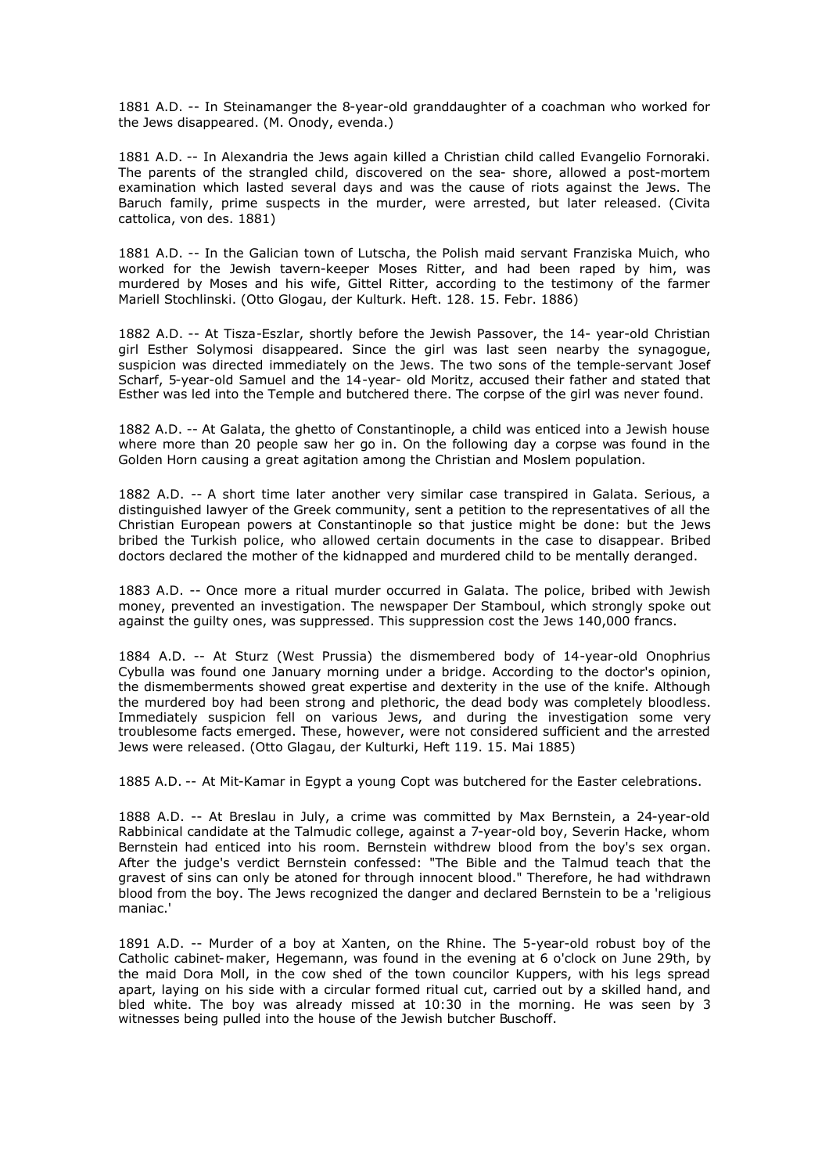1881 A.D. -- In Steinamanger the 8-year-old granddaughter of a coachman who worked for the Jews disappeared. (M. Onody, evenda.)

1881 A.D. -- In Alexandria the Jews again killed a Christian child called Evangelio Fornoraki. The parents of the strangled child, discovered on the sea- shore, allowed a post-mortem examination which lasted several days and was the cause of riots against the Jews. The Baruch family, prime suspects in the murder, were arrested, but later released. (Civita cattolica, von des. 1881)

1881 A.D. -- In the Galician town of Lutscha, the Polish maid servant Franziska Muich, who worked for the Jewish tavern-keeper Moses Ritter, and had been raped by him, was murdered by Moses and his wife, Gittel Ritter, according to the testimony of the farmer Mariell Stochlinski. (Otto Glogau, der Kulturk. Heft. 128. 15. Febr. 1886)

1882 A.D. -- At Tisza-Eszlar, shortly before the Jewish Passover, the 14- year-old Christian girl Esther Solymosi disappeared. Since the girl was last seen nearby the synagogue, suspicion was directed immediately on the Jews. The two sons of the temple-servant Josef Scharf, 5-year-old Samuel and the 14-year- old Moritz, accused their father and stated that Esther was led into the Temple and butchered there. The corpse of the girl was never found.

1882 A.D. -- At Galata, the ghetto of Constantinople, a child was enticed into a Jewish house where more than 20 people saw her go in. On the following day a corpse was found in the Golden Horn causing a great agitation among the Christian and Moslem population.

1882 A.D. -- A short time later another very similar case transpired in Galata. Serious, a distinguished lawyer of the Greek community, sent a petition to the representatives of all the Christian European powers at Constantinople so that justice might be done: but the Jews bribed the Turkish police, who allowed certain documents in the case to disappear. Bribed doctors declared the mother of the kidnapped and murdered child to be mentally deranged.

1883 A.D. -- Once more a ritual murder occurred in Galata. The police, bribed with Jewish money, prevented an investigation. The newspaper Der Stamboul, which strongly spoke out against the guilty ones, was suppressed. This suppression cost the Jews 140,000 francs.

1884 A.D. -- At Sturz (West Prussia) the dismembered body of 14-year-old Onophrius Cybulla was found one January morning under a bridge. According to the doctor's opinion, the dismemberments showed great expertise and dexterity in the use of the knife. Although the murdered boy had been strong and plethoric, the dead body was completely bloodless. Immediately suspicion fell on various Jews, and during the investigation some very troublesome facts emerged. These, however, were not considered sufficient and the arrested Jews were released. (Otto Glagau, der Kulturki, Heft 119. 15. Mai 1885)

1885 A.D. -- At Mit-Kamar in Egypt a young Copt was butchered for the Easter celebrations.

1888 A.D. -- At Breslau in July, a crime was committed by Max Bernstein, a 24-year-old Rabbinical candidate at the Talmudic college, against a 7-year-old boy, Severin Hacke, whom Bernstein had enticed into his room. Bernstein withdrew blood from the boy's sex organ. After the judge's verdict Bernstein confessed: "The Bible and the Talmud teach that the gravest of sins can only be atoned for through innocent blood." Therefore, he had withdrawn blood from the boy. The Jews recognized the danger and declared Bernstein to be a 'religious maniac.'

1891 A.D. -- Murder of a boy at Xanten, on the Rhine. The 5-year-old robust boy of the Catholic cabinet-maker, Hegemann, was found in the evening at 6 o'clock on June 29th, by the maid Dora Moll, in the cow shed of the town councilor Kuppers, with his legs spread apart, laying on his side with a circular formed ritual cut, carried out by a skilled hand, and bled white. The boy was already missed at 10:30 in the morning. He was seen by 3 witnesses being pulled into the house of the Jewish butcher Buschoff.